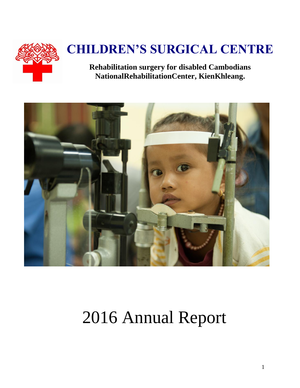

# **CHILDREN'S SURGICAL CENTRE**

**Rehabilitation surgery for disabled Cambodians NationalRehabilitationCenter, KienKhleang.**



# 2016 Annual Report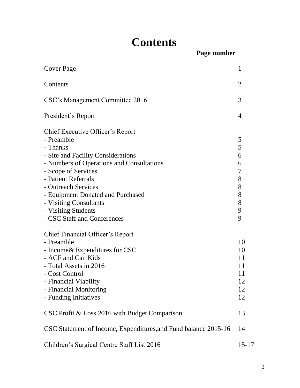# **Contents**

**Page number**

| <b>Cover Page</b>                                                                                                                                                                                                                                                                                                                       | 1                                                   |
|-----------------------------------------------------------------------------------------------------------------------------------------------------------------------------------------------------------------------------------------------------------------------------------------------------------------------------------------|-----------------------------------------------------|
| Contents                                                                                                                                                                                                                                                                                                                                | 2                                                   |
| CSC's Management Committee 2016                                                                                                                                                                                                                                                                                                         | 3                                                   |
| President's Report                                                                                                                                                                                                                                                                                                                      | $\overline{4}$                                      |
| Chief Executive Officer's Report<br>- Preamble<br>- Thanks<br>- Site and Facility Considerations<br>- Numbers of Operations and Consultations<br>- Scope of Services<br>- Patient Referrals<br>- Outreach Services<br>- Equipment Donated and Purchased<br>- Visiting Consultants<br>- Visiting Students<br>- CSC Staff and Conferences | 5<br>5<br>6<br>6<br>7<br>8<br>8<br>8<br>8<br>9<br>9 |
| Chief Financial Officer's Report<br>- Preamble<br>- Income & Expenditures for CSC<br>- ACF and CamKids<br>- Total Assets in 2016<br>- Cost Control<br><b>Financial Viability</b><br>- Financial Monitoring<br>- Funding Initiatives                                                                                                     | 10<br>10<br>11<br>11<br>11<br>12<br>12<br>12        |
| CSC Profit & Loss 2016 with Budget Comparison                                                                                                                                                                                                                                                                                           | 13                                                  |
| CSC Statement of Income, Expenditures, and Fund balance 2015-16                                                                                                                                                                                                                                                                         | 14                                                  |
| Children's Surgical Centre Staff List 2016                                                                                                                                                                                                                                                                                              | $15 - 17$                                           |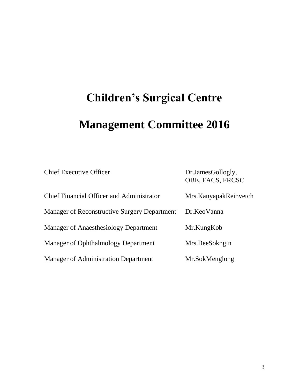# **Children's Surgical Centre Management Committee 2016**

| <b>Chief Executive Officer</b>                      | Dr.JamesGollogly,<br>OBE, FACS, FRCSC |
|-----------------------------------------------------|---------------------------------------|
| <b>Chief Financial Officer and Administrator</b>    | Mrs. Kanyapak Reinvetch               |
| <b>Manager of Reconstructive Surgery Department</b> | Dr.KeoVanna                           |
| <b>Manager of Anaesthesiology Department</b>        | Mr.KungKob                            |
| Manager of Ophthalmology Department                 | Mrs.BeeSokngin                        |
| <b>Manager of Administration Department</b>         | Mr.SokMenglong                        |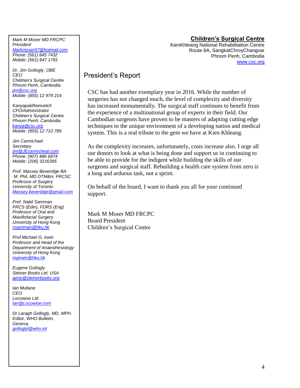#### **Children's Surgical Centre**

KienKhleang National Rehabilitation Centre Route 6A, SangkatChroyChangvar Phnom Penh, Cambodia [www.csc.org](http://www.csc.org/)

#### President's Report

CSC has had another exemplary year in 2016. While the number of surgeries has not changed much, the level of complexity and diversity has increased monumentally. The surgical staff continues to benefit from the experience of a multinational group of experts in their field. Our Cambodian surgeons have proven to be masters of adapting cutting edge techniques to the unique environment of a developing nation and medical system. This is a real tribute to the gem we have at Kien Khleang.

As the complexity increases, unfortunately, costs increase also. I urge all our donors to look at what is being done and support us in continuing to be able to provide for the indigent while building the skills of our surgeons and surgical staff. Rebuilding a health care system from zero is a long and arduous task, not a sprint.

On behalf of the board, I want to thank you all for your continued support.

Mark M Moser MD FRCPC Board President Children's Surgical Centre

*Mark M Moser MD FRCPC President [Markmoser57@hotmail.com](mailto:Markmoser57@hotmail.com) Phone: (561) 845 7432 Mobile: (561) 847 1781*

*Dr. Jim Gollogly, OBE CEO Children's Surgical Centre Phnom Penh, Cambodia [jim@csc.org](mailto:jim@csc.org) Mobile: (855) 12 979 214*

*KanyapakReinvetch CFO/Administrator Children's Surgical Centre Phnom Penh, Cambodia [kanya@csc.org](mailto:kanya@csc.org) Mobile: (855) 12 710 789*

*Jim Carmichael Secretary [jim@JEcarmicheal.com](mailto:jim@JEcarmicheal.com) Phone: (907) 486 6874 Mobile: (206) 3216395* 

*Prof. Massey Beveridge BA M. Phil, MD DTM&H, FRCSC Professor of Surgery University of Toronto [Massey.beveridge@gmail.com](mailto:Massey.beveridge@gmail.com)*

*Prof. Nabil Samman FRCS (Edin), FDRS (Eng) Professor of Oral and Maxillofacial Surgery University of Hong Kong [nsamman@hku.hk](mailto:nsamman@hku.hk)*

*Prof.Michael G. Irwin Professor and Head of the Department of Anaesthesiology University of Hong Kong [mgirwin@hku.hk](mailto:mgirwin@hku.hk)*

*Eugene Gollogly Steiner Books Ltd. USA [gene@steinerbooks.org](mailto:gene@steinerbooks.org)*

*Ian Mullane CEO Locowise Ltd [Ian@Locowise.com](mailto:Ian@Locowise.com)*

*Dr Laragh Gollogly, MD, MPH. Editor, WHO Bulletin, Geneva, [golloglyl@who.int](mailto:golloglyl@who.int)*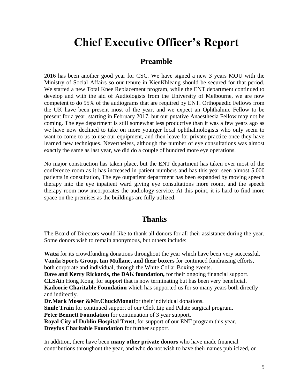# **Chief Executive Officer's Report**

#### **Preamble**

2016 has been another good year for CSC. We have signed a new 3 years MOU with the Ministry of Social Affairs so our tenure in KienKhleang should be secured for that period. We started a new Total Knee Replacement program, while the ENT department continued to develop and with the aid of Audiologists from the University of Melbourne, we are now competent to do 95% of the audiograms that are required by ENT. Orthopaedic Fellows from the UK have been present most of the year, and we expect an Ophthalmic Fellow to be present for a year, starting in February 2017, but our putative Anaesthesia Fellow may not be coming. The eye department is still somewhat less productive than it was a few years ago as we have now declined to take on more younger local ophthalmologists who only seem to want to come to us to use our equipment, and then leave for private practice once they have learned new techniques. Nevertheless, although the number of eye consultations was almost exactly the same as last year, we did do a couple of hundred more eye operations.

No major construction has taken place, but the ENT department has taken over most of the conference room as it has increased in patient numbers and has this year seen almost 5,000 patients in consultation, The eye outpatient department has been expanded by moving speech therapy into the eye inpatient ward giving eye consultations more room, and the speech therapy room now incorporates the audiology service. At this point, it is hard to find more space on the premises as the buildings are fully utilized.

#### **Thanks**

The Board of Directors would like to thank all donors for all their assistance during the year. Some donors wish to remain anonymous, but others include:

**Watsi** for its crowdfunding donations throughout the year which have been very successful. **Vanda Sports Group, Ian Mullane, and their boxers** for continued fundraising efforts, both corporate and individual, through the White Collar Boxing events. **Dave and Kerry Rickards, the DAK foundation,** for their ongoing financial support. **CLSA**in Hong Kong, for support that is now terminating but has been very beneficial. **Kadoorie Charitable Foundation** which has supported us for so many years both directly and indirectly. **Dr.Mark Moser &Mr.ChuckMonat**for their individual donations. **Smile Train** for continued support of our Cleft Lip and Palate surgical program. **Peter Bennett Foundation** for continuation of 3 year support. **Royal City of Dublin Hospital Trust**, for support of our ENT program this year.

**Dreyfus Charitable Foundation** for further support.

In addition, there have been **many other private donors** who have made financial contributions throughout the year, and who do not wish to have their names publicized, or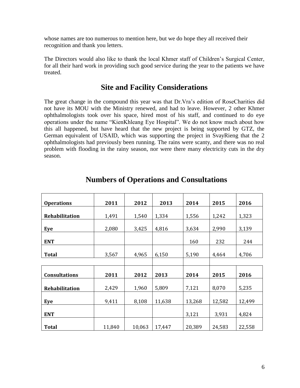whose names are too numerous to mention here, but we do hope they all received their recognition and thank you letters.

The Directors would also like to thank the local Khmer staff of Children's Surgical Center, for all their hard work in providing such good service during the year to the patients we have treated.

#### **Site and Facility Considerations**

The great change in the compound this year was that Dr.Vra's edition of RoseCharities did not have its MOU with the Ministry renewed, and had to leave. However, 2 other Khmer ophthalmologists took over his space, hired most of his staff, and continued to do eye operations under the name "KienKhleang Eye Hospital". We do not know much about how this all happened, but have heard that the new project is being supported by GTZ, the German equivalent of USAID, which was supporting the project in SvayRieng that the 2 ophthalmologists had previously been running. The rains were scanty, and there was no real problem with flooding in the rainy season, nor were there many electricity cuts in the dry season.

| <b>Operations</b>     | 2011   | 2012   | 2013   | 2014   | 2015   | 2016   |
|-----------------------|--------|--------|--------|--------|--------|--------|
| <b>Rehabilitation</b> | 1,491  | 1,540  | 1,334  | 1,556  | 1,242  | 1,323  |
| Eye                   | 2,080  | 3,425  | 4,816  | 3,634  | 2,990  | 3,139  |
| <b>ENT</b>            |        |        |        | 160    | 232    | 244    |
| <b>Total</b>          | 3,567  | 4,965  | 6,150  | 5,190  | 4,464  | 4,706  |
|                       |        |        |        |        |        |        |
| <b>Consultations</b>  | 2011   | 2012   | 2013   | 2014   | 2015   | 2016   |
| <b>Rehabilitation</b> | 2,429  | 1,960  | 5,809  | 7,121  | 8,070  | 5,235  |
| Eye                   | 9,411  | 8,108  | 11,638 | 13,268 | 12,582 | 12,499 |
| <b>ENT</b>            |        |        |        | 3,121  | 3,931  | 4,824  |
| <b>Total</b>          | 11,840 | 10,063 | 17,447 | 20,389 | 24,583 | 22,558 |

#### **Numbers of Operations and Consultations**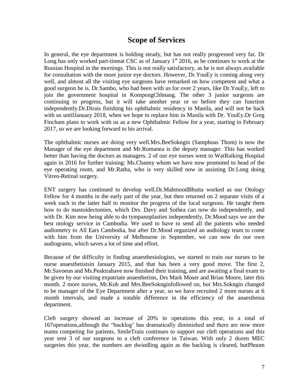#### **Scope of Services**

In general, the eye department is holding steady, but has not really progressed very far. Dr Long has only worked part-timeat CSC as of January  $1<sup>st</sup>$  2016, as he continues to work at the Russian Hospital in the mornings. This is not really satisfactory, as he is not always available for consultation with the more junior eye doctors. However, Dr.YouEy is coming along very well, and almost all the visiting eye surgeons have remarked on how competent and what a good surgeon he is. Dr.Sambo, who had been with us for over 2 years, like Dr.YouEy, left to join the government hospital in KompongChhnang. The other 3 junior surgeons are continuing to progress, but it will take another year or so before they can function independently.Dr.Dirais finishing his ophthalmic residency in Manila, and will not be back with us untilJanuary 2018, when we hope to replace him in Manila with Dr. YouEy.Dr Greg Fincham plans to work with us as a new Ophthalmic Fellow for a year, starting in February 2017, so we are looking forward to his arrival.

The ophthalmic nurses are doing very well.Mrs.BeeSokngin (Samphoas Thom) is now the Manager of the eye department and Mr.Romanea is the deputy manager. This has worked better than having the doctors as managers. 2 of our eye nurses went to WatRaiking Hospital again in 2016 for further training: Ms.Channy whom we have now promoted to head of the eye operating room, and Mr.Ratha, who is very skilled now in assisting Dr.Long doing Vitreo-Retinal surgery.

ENT surgery has continued to develop well.Dr.MahmoodBhutta worked as our Otology Fellow for 4 months in the early part of the year, but then returned on 2 separate visits of a week each in the latter half to monitor the progress of the local surgeons. He taught them how to do mastoidectomies, which Drs. Davy and Sothea can now do independently, and with Dr. Kim now being able to do tympanoplasties independently, Dr.Mood says we are the best otology service in Cambodia. We used to have to send all the patients who needed audiometry to All Ears Cambodia, but after Dr.Mood organized an audiology team to come with him from the University of Melbourne in September, we can now do our own audiograms, which saves a lot of time and effort.

Because of the difficulty in finding anaesthesiologists, we started to train our nurses to be nurse anaesthetistsin January 2015, and that has been a very good move. The first 2, Mr.Savoeun and Ms.Peaktrahave now finished their training, and are awaiting a final exam to be given by our visiting expatriate anaesthetists, Drs Mark Moser and Brian Moore, later this month. 2 more nurses, Mr.Kob and Mrs.BeeSoknginfollowed on, but Mrs.Sokngin changed to be manager of the Eye Department after a year, so we have recruited 2 more nurses at 6 month intervals, and made a notable difference in the efficiency of the anaesthesia department.

Cleft surgery showed an increase of 20% in operations this year, to a total of 167operations,although the "backlog' has dramatically diminished and there are now more teams competing for patients. SmileTrain continues to support our cleft operations and this year sent 3 of our surgeons to a cleft conference in Taiwan. With only 2 dozen MEC surgeries this year, the numbers are dwindling again as the backlog is cleared, butPhnom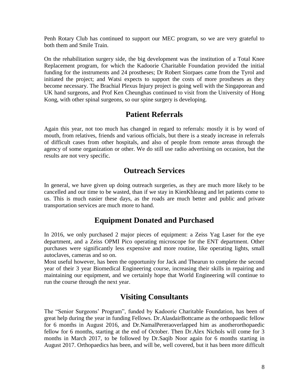Penh Rotary Club has continued to support our MEC program, so we are very grateful to both them and Smile Train.

On the rehabilitation surgery side, the big development was the institution of a Total Knee Replacement program, for which the Kadoorie Charitable Foundation provided the initial funding for the instruments and 24 prostheses; Dr Robert Siorpaes came from the Tyrol and initiated the project; and Watsi expects to support the costs of more prostheses as they become necessary. The Brachial Plexus Injury project is going well with the Singaporean and UK hand surgeons, and Prof Ken Cheunghas continued to visit from the University of Hong Kong, with other spinal surgeons, so our spine surgery is developing.

#### **Patient Referrals**

Again this year, not too much has changed in regard to referrals: mostly it is by word of mouth, from relatives, friends and various officials, but there is a steady increase in referrals of difficult cases from other hospitals, and also of people from remote areas through the agency of some organization or other. We do still use radio advertising on occasion, but the results are not very specific.

#### **Outreach Services**

In general, we have given up doing outreach surgeries, as they are much more likely to be cancelled and our time to be wasted, than if we stay in KienKhleang and let patients come to us. This is much easier these days, as the roads are much better and public and private transportation services are much more to hand.

## **Equipment Donated and Purchased**

In 2016, we only purchased 2 major pieces of equipment: a Zeiss Yag Laser for the eye department, and a Zeiss OPMI Pico operating microscope for the ENT department. Other purchases were significantly less expensive and more routine, like operating lights, small autoclaves, cameras and so on.

Most useful however, has been the opportunity for Jack and Thearun to complete the second year of their 3 year Biomedical Engineering course, increasing their skills in repairing and maintaining our equipment, and we certainly hope that World Engineering will continue to run the course through the next year.

## **Visiting Consultants**

The "Senior Surgeons' Program", funded by Kadoorie Charitable Foundation, has been of great help during the year in funding Fellows. Dr.AlasdairBottcame as the orthopaedic fellow for 6 months in August 2016, and Dr.NamalPereraoverlapped him as anotherorthopaedic fellow for 6 months, starting at the end of October. Then Dr.Alex Nichols will come for 3 months in March 2017, to be followed by Dr.Saqib Noor again for 6 months starting in August 2017. Orthopaedics has been, and will be, well covered, but it has been more difficult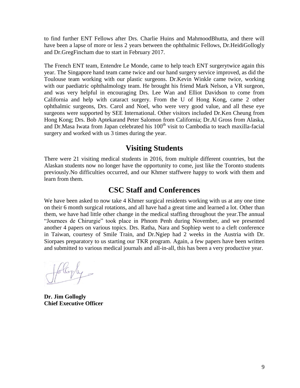to find further ENT Fellows after Drs. Charlie Huins and MahmoodBhutta, and there will have been a lapse of more or less 2 years between the ophthalmic Fellows, Dr.HeidiGollogly and Dr.GregFincham due to start in February 2017.

The French ENT team, Entendre Le Monde, came to help teach ENT surgerytwice again this year. The Singapore hand team came twice and our hand surgery service improved, as did the Toulouse team working with our plastic surgeons. Dr.Kevin Winkle came twice, working with our paediatric ophthalmology team. He brought his friend Mark Nelson, a VR surgeon, and was very helpful in encouraging Drs. Lee Wan and Elliot Davidson to come from California and help with cataract surgery. From the U of Hong Kong, came 2 other ophthalmic surgeons, Drs. Carol and Noel, who were very good value, and all these eye surgeons were supported by SEE International. Other visitors included Dr.Ken Cheung from Hong Kong; Drs. Bob Aptekarand Peter Salomon from California; Dr.Al Gross from Alaska, and Dr.Masa Iwata from Japan celebrated his 100<sup>th</sup> visit to Cambodia to teach maxilla-facial surgery and worked with us 3 times during the year.

#### **Visiting Students**

There were 21 visiting medical students in 2016, from multiple different countries, but the Alaskan students now no longer have the opportunity to come, just like the Toronto students previously.No difficulties occurred, and our Khmer staffwere happy to work with them and learn from them.

#### **CSC Staff and Conferences**

We have been asked to now take 4 Khmer surgical residents working with us at any one time on their 6 month surgical rotations, and all have had a great time and learned a lot. Other than them, we have had little other change in the medical staffing throughout the year.The annual "Journees de Chirurgie" took place in Phnom Penh during November, and we presented another 4 papers on various topics. Drs. Ratha, Nara and Sophiep went to a cleft conference in Taiwan, courtesy of Smile Train, and Dr.Ngiep had 2 weeks in the Austria with Dr. Siorpaes preparatory to us starting our TKR program. Again, a few papers have been written and submitted to various medical journals and all-in-all, this has been a very productive year.

**Dr. Jim Gollogly Chief Executive Officer**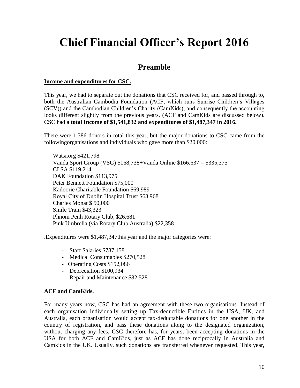# **Chief Financial Officer's Report 2016**

## **Preamble**

#### **Income and expenditures for CSC.**

This year, we had to separate out the donations that CSC received for, and passed through to, both the Australian Cambodia Foundation (ACF, which runs Sunrise Children's Villages (SCV)) and the Cambodian Children's Charity (CamKids), and consequently the accounting looks different slightly from the previous years. (ACF and CamKids are discussed below). CSC had a **total Income of \$1,541,832 and expenditures of \$1,487,347 in 2016.**

There were 1,386 donors in total this year, but the major donations to CSC came from the followingorganisations and individuals who gave more than \$20,000:

Watsi.org \$421,798 Vanda Sport Group (VSG) \$168,738+Vanda Online \$166,637 = \$335,375 CLSA \$119,214 DAK Foundation \$113,975 Peter Bennett Foundation \$75,000 Kadoorie Charitable Foundation \$69,989 Royal City of Dublin Hospital Trust \$63,968 Charles Monat \$ 50,000 Smile Train \$43,323 Phnom Penh Rotary Club, \$26,681 Pink Umbrella (via Rotary Club Australia) \$22,358

.Expenditures were \$1,487,347this year and the major categories were:

- Staff Salaries \$787,158
- Medical Consumables \$270,528
- Operating Costs \$152,086
- Depreciation \$100,934
- Repair and Maintenance \$82,528

#### **ACF and CamKids.**

For many years now, CSC has had an agreement with these two organisations. Instead of each organisation individually setting up Tax-deductible Entities in the USA, UK, and Australia, each organisation would accept tax-deductable donations for one another in the country of registration, and pass these donations along to the designated organization, without charging any fees. CSC therefore has, for years, been accepting donations in the USA for both ACF and CamKids, just as ACF has done reciprocally in Australia and Camkids in the UK. Usually, such donations are transferred whenever requested. This year,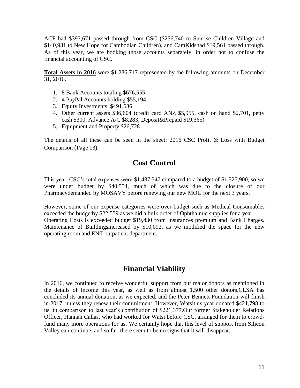ACF had \$397,671 passed through from CSC (\$256,740 to Sunrise Children Village and \$140,931 to New Hope for Cambodian Children), and CamKidshad \$19,561 passed through. As of this year, we are booking those accounts separately, in order not to confuse the financial accounting of CSC.

**Total Assets in 2016** were \$1,286,717 represented by the following amounts on December 31, 2016.

- 1. 8 Bank Accounts totaling \$676,555
- 2. 4 PayPal Accounts holding \$55,194
- 3. Equity Investments \$491,636
- 4. Other current assets \$36,604 (credit card ANZ \$5,955, cash on hand \$2,701, petty cash \$300, Advance A/C \$8,283, Deposit&Prepaid \$19,365)
- 5. Equipment and Property \$26,728

The details of all these can be seen in the sheet: 2016 CSC Profit & Loss with Budget Comparison (Page 13).

#### **Cost Control**

This year, CSC's total expenses were \$1,487,347 compared to a budget of \$1,527,900, so we were under budget by \$40,554, much of which was due to the closure of our Pharmacydemanded by MOSAVY before renewing our new MOU for the next 3 years.

However, some of our expense categories were over-budget such as Medical Consumables exceeded the budgetby \$22,559 as we did a bulk order of Ophthalmic supplies for a year. Operating Costs is exceeded budget \$19,430 from Insurances premium and Bank Charges. Maintenance of Buildingsincreased by \$10,092, as we modified the space for the new operating room and ENT outpatient department.

## **Financial Viability**

In 2016, we continued to receive wonderful support from our major donors as mentioned in the details of Income this year, as well as from almost 1,500 other donors.CLSA has concluded its annual donation, as we expected, and the Peter Bennett Foundation will finish in 2017, unless they renew their commitment. However, Watsithis year donated \$421,798 to us, in comparison to last year's contribution of \$221,377.Our former Stakeholder Relations Officer, Hannah Callas, who had worked for Watsi before CSC, arranged for them to crowdfund many more operations for us. We certainly hope that this level of support from Silicon Valley can continue, and so far, there seem to be no signs that it will disappear.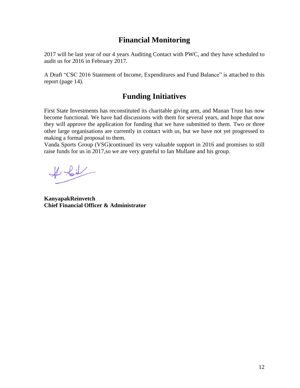## **Financial Monitoring**

2017 will be last year of our 4 years Auditing Contact with PWC, and they have scheduled to audit us for 2016 in February 2017.

A Draft "CSC 2016 Statement of Income, Expenditures and Fund Balance" is attached to this report (page 14).

## **Funding Initiatives**

First State Investments has reconstituted its charitable giving arm, and Manan Trust has now become functional. We have had discussions with them for several years, and hope that now they will approve the application for funding that we have submitted to them. Two or three other large organisations are currently in contact with us, but we have not yet progressed to making a formal proposal to them.

Vanda Sports Group (VSG)continued its very valuable support in 2016 and promises to still raise funds for us in 2017,so we are very grateful to Ian Mullane and his group.

 $#$ foil

**KanyapakReinvetch Chief Financial Officer & Administrator**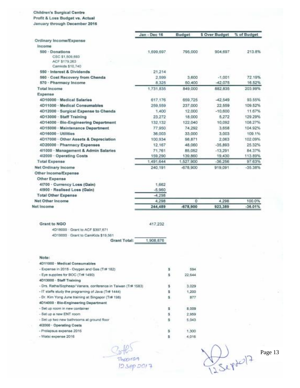#### Children's Surgical Centre

Profit & Loss Budget vs. Actual

January through December 2016

|                                                               | Jan - Dec 16 | Budget         | \$ Over Budget | % of Budget |
|---------------------------------------------------------------|--------------|----------------|----------------|-------------|
| Ordinary Income/Expense                                       |              |                |                |             |
| Income                                                        |              |                |                |             |
| 500 - Donations                                               | 1,699,697    | 795,000        | 904,697        | 213.8%      |
| CSC \$1,509,693<br>ACF \$179.263                              |              |                |                |             |
| Camkids \$10,740                                              |              |                |                |             |
| 550 - Interest & Dividends                                    | 21,214       |                |                |             |
| 560 - Cost Recovery from Chenda                               | 2,599        | 3,600          | $-1.001$       | 72.19%      |
| 570 - Pharmacy Income                                         | 8.325        | 50.400         | $-42.075$      | 16.52%      |
| <b>Total Income</b>                                           | 1,731,835    | 849,000        | 882,835        | 203.99%     |
| Expense                                                       |              |                |                |             |
| 4D10000 · Medical Salaries                                    | 617,176      | 659,725        | $-42.549$      | 93.55%      |
| 4D11000 · Medical Consumables                                 | 259,559      | 237,000        | 22,559         | 109.52%     |
| 4D12006 · Surgical Expense to Chenda                          | 1,400        | 12.000         | $-10,600$      | 11.67%      |
| 4D13000 · Staff Training                                      | 23, 272      | 18,000         | 5,272          | 129.29%     |
| 4D14000 · Bio-Engineering Department                          | 132, 132     | 122,040        | 10,092         | 108.27%     |
| 4D15000 - Maintenance Department                              | 77,950       | 74.292         | 3,658          | 104.92%     |
| 4D16000 · Utilities                                           | 36,003       | 33,000         | 3,003          | 109.1%      |
| 4D17000 · Other Assets & Depreciation                         | 100 934      | 98,871         | 2.063          | 102 09%     |
| 4D20000 · Pharmacy Expenses                                   | 12.167       | 48.060         | $-35.893$      | 25.32%      |
| 4/1000 · Management & Admin Salaries                          | 71,761       | 85.052         | $-13.291$      | 84.37%      |
| 4/2000 · Operating Costs                                      | 159,290      | 139,860        | 19,430         | 113.89%     |
| <b>Total Expense</b>                                          | 1.491.644    | 1,527,900      | $-36,256$      | 97.63%      |
| Net Ordinary Income                                           | 240.191      | $-678.900$     | 919,091        | $-35.38%$   |
| Other Income/Expense                                          |              |                |                |             |
| Other Expense                                                 |              |                |                |             |
| 41700 - Currency Loss (Gain)                                  | 1,662        |                |                |             |
| 4/900 - Realised Loss (Gain)                                  | $-5,960$     |                |                |             |
| <b>Total Other Expense</b>                                    | $-4.298$     |                |                |             |
| Net Other Income                                              | 4.298        | o              | 4.298          | 100.0%      |
|                                                               |              | $-678,900$     | 923,389        | $-36.01%$   |
| Net Income                                                    | 244,489      |                |                |             |
|                                                               |              |                |                |             |
| Grant to NGO                                                  | 417,232      |                |                |             |
| 4D18000 Grant to ACF \$397,671                                |              |                |                |             |
| 4D19000 Grant to CamKids \$19,561                             |              |                |                |             |
| <b>Grant Total:</b>                                           | 1.908.876    |                |                |             |
| Note:                                                         |              |                |                |             |
|                                                               |              |                |                |             |
| 4D11000 - Medical Consumables                                 |              |                |                |             |
| - Expense in 2015 - Oxygen and Gas (Tr# 182)                  | \$           | 594            |                |             |
| - Eye supplies for BOC (Tr# 1490)                             | s            | 22,644         |                |             |
| 4D13000 · Staff Training                                      |              |                |                |             |
| - Drs. Ratha/Sopheap/ Vanara, conference in Taiwan (Tr# 1583) | s            | 3,029          |                |             |
| - IT staffs study the programing of Java (Tr# 1444)           | s            | 1,200          |                |             |
| - Dr. Kim Yong June training at Singspor (Tr# 198)            | \$           | 877            |                |             |
| 4D14000 - Bio-Engineering Department                          |              |                |                |             |
| - Set up room in new container                                | з            | 8,009          |                |             |
| - Set up a new ENT room                                       | \$           | 2,959          |                |             |
| - Set up two new bathrooms at ground floor                    | ŝ            | 5,043          |                |             |
| 412000 · Operating Costs                                      |              |                |                |             |
| - Prolapsus expense 2016<br>- Watsi expense 2016              | š<br>s       | 1,300<br>4,016 |                |             |

Soft-)<br>Theoron<br>12.Sep 2017

 $D$ <br>12 Septe17

Page 13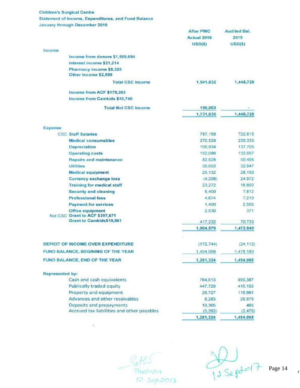#### **Children's Surgical Centre Statement of Income, Expenditures, and Fund Balance**

**January through December 2016** 

|                                                                     | <b>After PWC</b>   | <b>Audited Bal.</b> |
|---------------------------------------------------------------------|--------------------|---------------------|
|                                                                     | Actual 2016        | 2015                |
|                                                                     | USD(5)             | $USD($ \$)          |
| Income                                                              |                    |                     |
| Income from donors \$1,509,694                                      |                    |                     |
| Interest income \$21,214                                            |                    |                     |
| Pharmacy income \$8,325<br>Other income \$2,599                     |                    |                     |
| <b>Total CSC Income</b>                                             | 1,541,832          | 1,448,728           |
| Income from ACF \$179,263                                           |                    |                     |
| Income from Camkids \$10,740                                        |                    |                     |
| <b>Total Not CSC Income</b>                                         | 190,003            |                     |
|                                                                     | 1,731,835          | 1,448,728           |
| Expense                                                             |                    |                     |
| <b>CSC Staff Salaries</b>                                           | 787, 158           | 722.815             |
| <b>Medical consumables</b>                                          | 270,528            | 235,333             |
| <b>Depreciation</b>                                                 | 100,934            | 137,705             |
| <b>Operating costs</b>                                              | 152,086            | 132,957             |
| <b>Repairs and maintenance</b>                                      | 82,528             | 50,495              |
| <b>Utilities</b>                                                    | 36,003             | 32,947              |
| <b>Medical equipment</b>                                            | 25,132             | 28,190              |
| <b>Currency exchange loss</b>                                       | (4,298)            | 24,972              |
| <b>Training for medical staff</b>                                   | 23,272             | 18,800              |
| <b>Security and cleaning</b>                                        | 5,400              | 7.812               |
| <b>Professional fees</b>                                            | 4,674              | 7,210               |
| <b>Payment for services</b>                                         | 1,400              | 2,500               |
| <b>Office equipment</b><br>Not CSC Grant to ACF \$397,671           | 2,530              | 371                 |
| <b>Grant to Camkids\$19,561</b>                                     | 417,232            | 70,733              |
|                                                                     | 1,904,579          | 1,472,840           |
| DEFICIT OF INCOME OVER EXPENDITURE                                  | (172, 744)         | (24, 112)           |
|                                                                     |                    |                     |
| FUND BALANCE, BEGINING OF THE YEAR<br>FUND BALANCE, END OF THE YEAR | 1,454,068          | 1,478,180           |
|                                                                     | 1,281,324          | 1,454,068           |
| <b>Represented by:</b>                                              |                    |                     |
| Cash and cash equivalents                                           | 784,613            | 896,387             |
| <b>Publically traded equity</b>                                     | 447.729            | 416.155             |
| Property and equipment<br>Advances and other receivables            | 26,727             | 116,661             |
| Deposits and prepayments                                            | 8.283              | 26,879              |
| Accrued tax liabilities and other payables                          | 19,365<br>(5, 393) | 465<br>(2.479)      |
|                                                                     | 1,281,324          | 1,454,068           |

Roth<br>Thearan<br>12 Sep2017

 $13$  Sept of 7 Page 14

f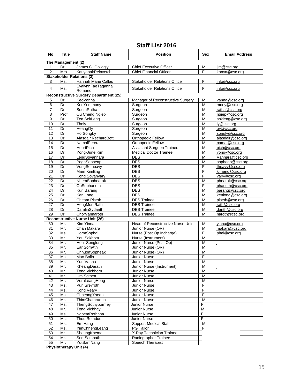#### **Staff List 2016**

| No              | <b>Title</b>                  | <b>Staff Name</b>                             | <b>Position</b>                                            | Sex    | <b>Email Address</b>            |
|-----------------|-------------------------------|-----------------------------------------------|------------------------------------------------------------|--------|---------------------------------|
|                 | The Management (2)            |                                               |                                                            |        |                                 |
| 1               | Dr.                           | James G. Gollogly                             | <b>Chief Executive Officer</b>                             | M      | jim@csc.org                     |
| 2               | Mrs.                          | KanyapakReinvetch                             | <b>Chief Financial Officer</b>                             | F      | kanya@csc.org                   |
|                 |                               | <b>Stakeholder Relations (2)</b>              |                                                            |        |                                 |
| 3               | Ms.                           | Hannah Marie Callas                           | <b>Stakeholder Relations Officer</b>                       | F      | info@csc.org                    |
| 4               | Ms.                           | EvalynnFaeTaganna<br>Romano                   | <b>Stakeholder Relations Officer</b>                       | F      | info@csc.org                    |
|                 |                               | <b>Reconstructive Surgery Department (25)</b> |                                                            |        |                                 |
| 5               | Dr.                           | KeoVanna                                      | Manager of Reconstructive Surgery                          | М      | vanna@csc.org                   |
| 6               | Dr.                           | KeoYemmony                                    | Surgeon                                                    | M      | mony@csc.org                    |
| 7               | Dr.                           | SoumRatha                                     | Surgeon                                                    | M      | ratha@csc.org                   |
| 8               | Prof.                         | Ou Cheng Ngiep                                | Surgeon                                                    | M      | ngiep@csc.org                   |
| 9               | Dr.                           | Tea SokLeng                                   | Surgeon                                                    | M      | sokleng@csc.org                 |
| 10              | Dr.                           | Tholy                                         | Surgeon                                                    | M      | ly@csc.org                      |
| 11              | Dr.                           | HeangOy                                       | Surgeon                                                    | M      | oy@csc.org                      |
| 12              | Dr.                           | HorSongLy                                     | Surgeon                                                    | M      | songly@csc.org                  |
| 13              | Dr.                           | Alasdair RechardBott                          | Orthopedic Fellow                                          | M      | alasdair@csc.org                |
| 14              | Dr.                           | NamalPerera                                   | Orthopedic Fellow                                          | M      | namal@csc.org                   |
| 15              | Dr.                           | HourtPich                                     | Assistant Surgoen Trainee<br><b>Medical Doctor Trainee</b> | M<br>M | pich@csc.org<br>yong@csc.org    |
| 16<br>17        | Dr.<br>Dr.                    | Yong-June Kim<br>LengSovannara                | <b>DES</b>                                                 | M      | Vannara@csc.org                 |
| 18              | Dr.                           | PognSopheap                                   | <b>DES</b>                                                 | M      | sopheap@csc.org                 |
| 19              | Dr.                           | VongSotheavy                                  | <b>DES</b>                                                 | F      | theavy@csc.org                  |
| 20              | Dr.                           | Mam KimEng                                    | <b>DES</b>                                                 | F      | kimeng@csc.org                  |
| 21              | Dr.                           | Kong Sovanvary                                | <b>DES</b>                                                 | F      | vary@csc.org                    |
| 22              | Dr.                           | NhemSophearak                                 | <b>DES</b>                                                 | M      | phearak@csc.org                 |
| 23              | Dr.                           | OuSophaneth                                   | <b>DES</b>                                                 | F      | phaneth@csc.org                 |
| 24              | Dr.                           | Kun Barang                                    | <b>DES</b>                                                 | M      | barang@csc.org                  |
| 25              | Dr.                           | Ken Long                                      | <b>DES</b>                                                 | M      | kenlong@csc.org                 |
| 26              | Dr.                           | Cheam Piseth                                  | <b>DES Trainee</b>                                         | M      | piseth@csc.org                  |
| 27              | Dr.                           | HengMoniRath                                  | <b>DES Trainee</b>                                         | M      | rath@csc.org                    |
| 28              | Dr.                           | DaralinSydarith                               | <b>DES Trainee</b>                                         | M      | darith@csc.org                  |
| 29              | Dr.                           | ChorVannaroth                                 | <b>DES Trainee</b>                                         | M      | naroth@csc.org                  |
|                 |                               | <b>Reconstructive Nurse Unit (26)</b>         | Head of Reconstructive Nurse Unit                          |        |                                 |
| 30<br>31        | Mr.<br>Mr.                    | Kim Yinna<br>Chan Makara                      | Junior Nurse (OR)                                          | М<br>M | yinna@csc.org<br>makara@csc.org |
| 32              | Ms.                           | HormSophal                                    | Nurse (Post Op Incharge)                                   | F      | phal@csc.org                    |
| 33              | Mr.                           | You Sokhom                                    | Nurse (Instrument)                                         | M      |                                 |
| 34              | Mr.                           | Hour Senglong                                 | Junior Nurse (Post Op)                                     | M      |                                 |
| 35              | Mr.                           | Ear SomAth                                    | Junior Nurse (OR)                                          | M      |                                 |
| 36              | Mr.                           | ChhuonSopheak                                 | Junior Nurse (OR)                                          | M      |                                 |
| 37              | Ms.                           | Mao Bolin                                     | Junior Nurse                                               | F      |                                 |
| 38              | Mr.                           | Yun Vanna                                     | <b>Junior Nurse</b>                                        | M      |                                 |
| $\overline{39}$ | Mr.                           | KheangDarath                                  | Junior Nurse (Instrument)                                  | M      |                                 |
| 40              | Mr.                           | <b>Tong Vichhorn</b>                          | Junior Nurse                                               | Μ      |                                 |
| 41              | Mr.                           | Um Sothea                                     | Junior Nurse                                               | M      |                                 |
| 42              | Mr.                           | VornLeangHeng                                 | Junior Nurse                                               | M      |                                 |
| 43              | Ms.                           | Pun Sreyroth                                  | Junior Nurse                                               | F<br>F |                                 |
| 44<br>45        | Ms.<br>Ms.                    | <b>Kong Veary</b><br>ChheangYsean             | Junior Nurse<br>Junior Nurse                               | F      |                                 |
| 46              | Mr.                           | ThimChamraeun                                 | Junior Nurse                                               | M      |                                 |
| 47              | Ms.                           | ThengSothybormey                              | Junior Nurse                                               | F      |                                 |
| 48              | Mr.                           | Tong Vichhay                                  | Junior Nurse                                               | M      |                                 |
| 49              | Ms.                           | NgoemRothana                                  | Junior Nurse                                               | F      |                                 |
| 50              | Ms.                           | Thou Romduol                                  | Junior Nurse                                               | F      |                                 |
| 51              | Ms.                           | $Em$ Hang                                     | <b>Support Medical Staff</b>                               | M      |                                 |
| 52              | Ms.                           | YimChhengLeang                                | <b>PG Tailor</b>                                           | F      |                                 |
| 53              | Mr.                           | SbaungKhema                                   | X-Ray Technician Trainee                                   |        |                                 |
| 54              | Mr.                           | SemSambath                                    | Radiographer Trainee                                       |        |                                 |
| 55              | Mr.                           | YutSamNang                                    | Speech Therapist                                           |        |                                 |
|                 | <b>Physiotherapy Unit (4)</b> |                                               |                                                            |        |                                 |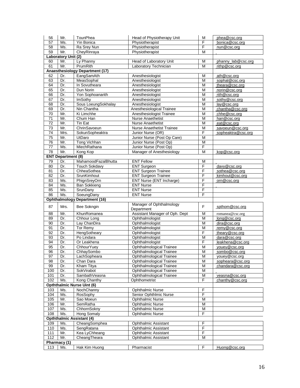| 56       | Mr.                       | TounPhea                             | Head of Physiotherapy Unit                   | M                       | phea@csc.org                  |
|----------|---------------------------|--------------------------------------|----------------------------------------------|-------------------------|-------------------------------|
| 57       | Ms.                       | Yin Bonica                           | Physiotherapist                              | F                       | bonica@csc.org                |
| 58       | Ms.                       | Ra Srey Nun                          | Physiotherapist                              | F                       | nun@csc.org                   |
| 59       | Mr.                       | ChevRinrava                          | Physiotherapist                              | M                       |                               |
|          | Laboratory Unit (2)       |                                      |                                              |                         |                               |
| 60       | Mr.                       | Ly Phanny                            | Head of Laboratory Unit                      | M                       | phanny_lab@csc.org            |
| 61       | Mr.                       | PrumRith                             | Laboratory Technician                        | M                       | rithp@csc.org                 |
|          |                           | Anaesthesiology Department (17)      |                                              |                         |                               |
| 62<br>63 | Dr.<br>Dr.                | EangSamAth<br>MeasSophal             | Anesthesiologist<br>Anesthesiologist         | M<br>M                  | ath@csc.org<br>sophal@csc.org |
| 64       | Dr.                       | In Sovutheara                        | Anesthesiologist                             | M                       | theara@csc.org                |
| 65       | Dr.                       | Dun Norin                            | Anesthesiologist                             | M                       | norin@csc.org                 |
| 66       | Dr.                       | Yon Sophoanarith                     | Anesthesiologist                             | M                       | rith@csc.org                  |
| 67       | Dr.                       | <b>ImSothy</b>                       | Anesthesiologist                             | M                       | sothy@csc.org                 |
| 68       | Dr.                       | Sous LoeungSokhalay                  | Anesthesiologist                             | M                       | lay@csc.org                   |
| 69       | Dr.                       | Nin Chantha                          | Anesthesiological Trainee                    | M                       | chantha@csc.org               |
| 70       | Mr.                       | Ki Limchhe                           | Anesthesiologist Trainee                     | M                       | chhe@csc.org                  |
| 71       | Mr.                       | Chum Han                             | Nurse Anaethetist                            | M                       | han@csc.org                   |
| 72       | Mr.                       | Tin Eat                              | Nurse Anaethetist                            | M                       | eat@csc.org                   |
| 73       | Mr.                       | ChrinSavoeun                         | <b>Nurse Anaethetist Trainee</b>             | M                       | savoeun@csc.org               |
| 74       | Mrs.                      | SokunSopheaktra                      | Junior Nurse (OR)                            | F                       | sopheaktra@csc.org            |
| 75       | Mr.                       | UtDaro                               | Junior Nurse (Post Op Care)                  | M                       |                               |
| 76       | Mr.                       | <b>Tong Vichhan</b>                  | Junior Nurse (Post Op)                       | M                       |                               |
| 77       | Ms.                       | MiechRathana                         | Junior Nurse (Post Op)                       | F                       |                               |
| 78       | Mr.                       | Kong Kop                             | Manager of Anesthesiology                    | M                       | kop@csc.org                   |
|          | <b>ENT Department (8)</b> |                                      |                                              |                         |                               |
| 79       | Dr.                       | MahamoodFazalBhutta                  | <b>ENT Fellow</b>                            | M                       |                               |
| 80       | Dr.                       | <b>Touch Sokdavy</b>                 | <b>ENT Surgeon</b>                           | F                       | davy@csc.org                  |
| 81       | Dr.                       | ChheaSothea                          | <b>ENT Surgeon Trainee</b>                   | F                       | sothea@csc.org                |
| 82       | Dr.                       | SrunKimhout                          | <b>ENT Surgeon Trainee</b>                   | F                       | kimhout@csc.org               |
| 83       | Ms.                       | PhignSreyOrn                         | ENT Nurse (ENT Incharge)                     | F                       | orn@csc.org                   |
| 84       | Ms.                       | <b>Ban Sokkieng</b>                  | <b>ENT Nurse</b>                             | F                       |                               |
| 85       | Ms.                       | SrunDany                             | <b>ENT Nurse</b>                             | F                       |                               |
| 86       | Ms.                       | SoeungDany                           | <b>ENT Nurse</b>                             | F                       |                               |
|          |                           | <b>Ophthalmology Department (16)</b> |                                              |                         |                               |
| 87       | Mrs.                      | Bee Sokngin                          | Manager of Ophthalmology                     | F                       | spthom@csc.org                |
| 88       | Mr.                       | KhunRomanea                          | Department<br>Assistant Manager of Oph. Dept | M                       | romanea@csc.org               |
| 89       | Dr.                       | Chhour Long                          | Ophthalmologist                              | M                       | long@csc.org                  |
| 90       | Dr.                       | Lay ChanDira                         | Ophthalmologist                              | M                       | dira@csc.org                  |
| 91       | Dr.                       | Tor Remy                             | Ophthalmologist                              | M                       | remy@csc.org                  |
| 92       | Dr.                       | HengSotheary                         | Ophthalmologist                              | F                       | theary@csc.org                |
| 93       | Dr.                       | Po Lindara                           | Ophthalmologist                              | M                       | dara@csc.org                  |
| 94       | Dr.                       | Or Leakhena                          | Ophthalmologist                              | F                       | leakhena@csc.org              |
| 95       | Dr.                       | ChhourYuey                           | Ophthalmological Trainee                     | M                       | youey@csc.org                 |
| 96       | Dr.                       | ChhaySombo                           | Ophthalmological Trainee                     | M                       | sombo@csc.org                 |
| 97       | Dr.                       | LachSopheara                         | Ophthalmological Trainee                     | Μ                       | youey@csc.org                 |
| 98       | Dr.                       | Chan Dara                            | Ophthalmological Trainee                     | M                       | sopheara@csc.org              |
| 99       | Dr.                       | Kham Titya                           | <b>Ophthalmological Trainee</b>              | M                       | chandara@csc.org              |
| 100      | Dr.                       | SokVirabot                           | Ophthalmological Trainee                     | M                       |                               |
| 101      | Dr.                       | SambathVeasna                        | <b>Ophthalmological Trainee</b>              | M                       | veasna@csc.org                |
| 102      | Ms.                       | Kong Chanthy                         | Ophthometrist                                | F                       | chanthy@csc.org               |
|          |                           | <b>Opththalmic Nurse Uint (6)</b>    |                                              |                         |                               |
| 103      | Ms.                       | NochChanny                           | <b>Ophthalmic Nurse</b>                      | F                       |                               |
| 104      | Ms.                       | RosSophy                             | Senior Ophthlmic Nurse                       | F                       |                               |
| 105      | Mr.                       | Sao Moeun                            | <b>Ophthalmic Nurse</b>                      | M                       |                               |
| 106      | Mr.                       | <b>SemRatha</b>                      | <b>Ophthalmic Nurse</b>                      | $\overline{\mathsf{M}}$ |                               |
| 107      | Ms.                       | ChhornSokny                          | <b>Ophthalmic Nurse</b>                      | M                       |                               |
| 108      | Ms.                       | Hong Somaly                          | <b>Ophthalmic Nurse</b>                      | F                       |                               |
|          |                           | <b>Opththalmic Assistant (4)</b>     |                                              |                         |                               |
| 109      | Ms.                       | CheangSomphea                        | Ophthalmic Assistant                         | F                       |                               |
| 110      | Ms.                       | SengRatana                           | <b>Ophthalmic Assistant</b>                  | F                       |                               |
| 111      | Mr.                       | Kea LyChheang                        | <b>Ophthalmic Assistant</b>                  | F                       |                               |
| 112      | Mr.                       | CheangTheara                         | <b>Ophthalmic Assistant</b>                  | M                       |                               |
|          | Pharmacy (1)              |                                      |                                              |                         |                               |
| 113      | Ms.                       | Hak Kim Huong                        | Pharmacist                                   | F                       | Huong@csc.org                 |